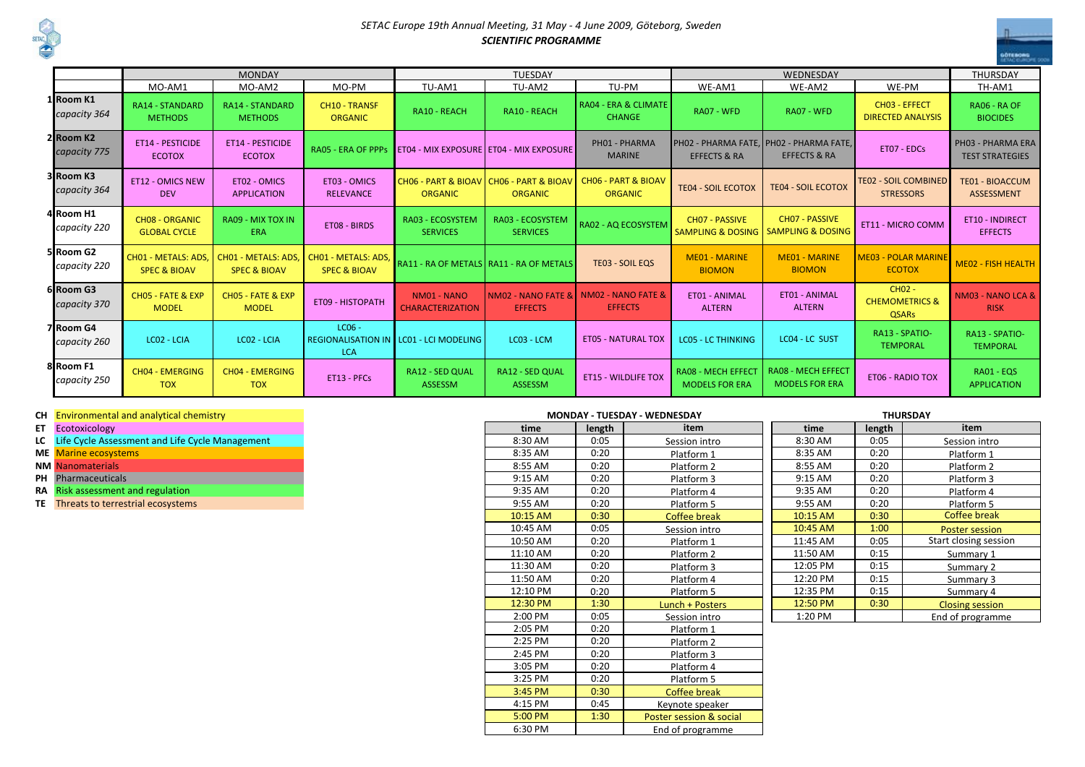

## *SETAC Europe 19th Annual Meeting, 31 May - 4 June 2009, Göteborg, Sweden SCIENTIFIC PROGRAMME*

|                                       |                                                | <b>MONDAY</b>                                  |                                                | <b>TUESDAY</b>                                              |                                                   |                                                  |                                                                    | <b>THURSDAY</b>                                          |                                                                 |                                             |
|---------------------------------------|------------------------------------------------|------------------------------------------------|------------------------------------------------|-------------------------------------------------------------|---------------------------------------------------|--------------------------------------------------|--------------------------------------------------------------------|----------------------------------------------------------|-----------------------------------------------------------------|---------------------------------------------|
|                                       | MO-AM1                                         | MO-AM2                                         | MO-PM                                          | TU-AM1                                                      | TU-AM2                                            | TU-PM                                            | WE-AM1<br>WE-AM2                                                   |                                                          | WE-PM                                                           | TH-AM1                                      |
| 1 Room K1<br>capacity 364             | <b>RA14 - STANDARD</b><br><b>METHODS</b>       | <b>RA14 - STANDARD</b><br><b>METHODS</b>       | <b>CH10 - TRANSF</b><br><b>ORGANIC</b>         | RA10 - REACH                                                | RA10 - REACH                                      | <b>RA04 - ERA &amp; CLIMATE</b><br><b>CHANGE</b> | RA07 - WFD                                                         | RA07 - WFD                                               | CH03 - EFFECT<br><b>DIRECTED ANALYSIS</b>                       | RA06 - RA OF<br><b>BIOCIDES</b>             |
| 2 Room K2<br>capacity 775             | <b>ET14 - PESTICIDE</b><br><b>ECOTOX</b>       | <b>ET14 - PESTICIDE</b><br><b>ECOTOX</b>       | <b>RA05 - ERA OF PPPS</b>                      |                                                             | ET04 - MIX EXPOSURE ET04 - MIX EXPOSURE           | PH01 - PHARMA<br><b>MARINE</b>                   | PHO2 - PHARMA FATE, PHO2 - PHARMA FATE,<br><b>EFFECTS &amp; RA</b> | <b>EFFECTS &amp; RA</b>                                  | ET07 - EDCs                                                     | PH03 - PHARMA ERA<br><b>TEST STRATEGIES</b> |
| 3 Room K3<br>capacity 364             | <b>ET12 - OMICS NEW</b><br><b>DEV</b>          | ET02 - OMICS<br><b>APPLICATION</b>             | ET03 - OMICS<br><b>RELEVANCE</b>               | CHO6 - PART & BIOAV   CHO6 - PART & BIOAV<br><b>ORGANIC</b> | <b>ORGANIC</b>                                    | <b>CHO6 - PART &amp; BIOAV</b><br><b>ORGANIC</b> | <b>TE04 - SOIL ECOTOX</b>                                          | <b>TEO2 - SOIL COMBINED</b><br><b>TE04 - SOIL ECOTOX</b> |                                                                 | <b>TE01 - BIOACCUM</b><br><b>ASSESSMENT</b> |
| 4Room H1<br>capacity 220              | <b>CHO8 - ORGANIC</b><br><b>GLOBAL CYCLE</b>   | RA09 - MIX TOX IN<br><b>ERA</b>                | ET08 - BIRDS                                   | <b>RA03 - ECOSYSTEM</b><br><b>SERVICES</b>                  | <b>RA03 - ECOSYSTEM</b><br><b>SERVICES</b>        | <b>RA02 - AQ ECOSYSTEM</b>                       | <b>CHO7 - PASSIVE</b><br><b>SAMPLING &amp; DOSING</b>              | CH07 - PASSIVE<br><b>SAMPLING &amp; DOSING</b>           |                                                                 | <b>ET10 - INDIRECT</b><br><b>EFFECTS</b>    |
| 5 Room G <sub>2</sub><br>capacity 220 | CH01 - METALS: ADS.<br><b>SPEC &amp; BIOAV</b> | CH01 - METALS: ADS,<br><b>SPEC &amp; BIOAV</b> | CH01 - METALS: ADS,<br><b>SPEC &amp; BIOAV</b> |                                                             | RA11 - RA OF METALS   RA11 - RA OF METALS         | <b>TE03 - SOIL EQS</b>                           | <b>ME01 - MARINE</b><br><b>BIOMON</b>                              | <b>ME01 - MARINE</b><br><b>BIOMON</b>                    | <b>ME03 - POLAR MARINE</b><br><b>ECOTOX</b>                     | <b>ME02 - FISH HEALTH</b>                   |
| 6 Room G3<br>capacity 370             | CH05 - FATE & EXP<br><b>MODEL</b>              | CH05 - FATE & EXP<br><b>MODEL</b>              | <b>ET09 - HISTOPATH</b>                        | NM01 - NANO<br><b>CHARACTERIZATION</b>                      | <b>NMO2 - NANO FATE &amp; L</b><br><b>EFFECTS</b> | NM02 - NANO FATE &<br><b>EFFECTS</b>             | ET01 - ANIMAL<br><b>ALTERN</b>                                     | ET01 - ANIMAL<br><b>ALTERN</b>                           | CH <sub>02</sub> -<br><b>CHEMOMETRICS &amp;</b><br><b>QSARs</b> | NM03 - NANO LCA &<br><b>RISK</b>            |
| 7 Room G4<br>capacity 260             | LC02 - LCIA                                    | LC02 - LCIA                                    | $LC06 -$<br><b>LCA</b>                         | REGIONALISATION IN LC01 - LCI MODELING                      | LC03 - LCM                                        | <b>ET05 - NATURAL TOX</b>                        | <b>LCO5 - LC THINKING</b>                                          | LC04 - LC SUST                                           | RA13 - SPATIO-<br><b>TEMPORAL</b>                               | RA13 - SPATIO-<br><b>TEMPORAL</b>           |
| 8Room F1<br>capacity 250              | <b>CH04 - EMERGING</b><br><b>TOX</b>           | <b>CH04 - EMERGING</b><br><b>TOX</b>           | ET13 - PFCs                                    | <b>RA12 - SED QUAL</b><br>ASSESSM                           | <b>RA12 - SED QUAL</b><br><b>ASSESSM</b>          | <b>ET15 - WILDLIFE TOX</b>                       | <b>RA08 - MECH EFFECT</b><br><b>MODELS FOR ERA</b>                 | <b>RA08 - MECH EFFECT</b><br><b>MODELS FOR ERA</b>       | <b>ET06 - RADIO TOX</b>                                         | RA01 - EQS<br><b>APPLICATION</b>            |

6:30 PM

## **CH** Environmental and analytical chemistry<br>**ET** Ecotoxicology

- **LCC** Life Cycle Assessment and Life Cycle Management 8:30 AM 0:05 8:30 AM 0:05 8:30 AM 0:05 8:30 AM 0:05 8:30 AM 0:05 8:30 AM 0:05 8:30 AM 0:05 8:30 AM 0:05 8:30 AM 0:05 8:30 AM 0:05 8:30 AM 0:05 8:30 AM 0:05 8:30 AM 0:05
- **ME** Marine ecosystems<br>**NM Nanomaterials**
- 
- 

## **MONDAY - TUESDAY - WEDNESDAY THURSDAY**

| en Environmental and analytical chemistry          |  |          |        |                         |          |        |  |
|----------------------------------------------------|--|----------|--------|-------------------------|----------|--------|--|
| <b>ET</b> Ecotoxicology                            |  | time     | length | item                    | time     | length |  |
| LC Life Cycle Assessment and Life Cycle Management |  | 8:30 AM  | 0:05   | Session intro           | 8:30 AM  | 0:05   |  |
| ME Marine ecosystems                               |  | 8:35 AM  | 0:20   | Platform 1              | 8:35 AM  | 0:20   |  |
| <b>NM Nanomaterials</b>                            |  | 8:55 AM  | 0:20   | Platform 2              | 8:55 AM  | 0:20   |  |
| PH Pharmaceuticals                                 |  | 9:15 AM  | 0:20   | Platform 3              | 9:15 AM  | 0:20   |  |
| RA Risk assessment and regulation                  |  | 9:35 AM  | 0:20   | Platform 4              | 9:35 AM  | 0:20   |  |
| TE Threats to terrestrial ecosystems               |  | 9:55 AM  | 0:20   | Platform 5              | 9:55 AM  | 0:20   |  |
|                                                    |  | 10:15 AM | 0:30   | Coffee break            | 10:15 AM | 0:30   |  |
|                                                    |  | 10:45 AM | 0:05   | Session intro           | 10:45 AM | 1:00   |  |
|                                                    |  | 10:50 AM | 0:20   | Platform 1              | 11:45 AM | 0:05   |  |
|                                                    |  | 11:10 AM | 0:20   | Platform 2              | 11:50 AM | 0:15   |  |
|                                                    |  | 11:30 AM | 0:20   | Platform 3              | 12:05 PM | 0:15   |  |
|                                                    |  | 11:50 AM | 0:20   | Platform 4              | 12:20 PM | 0:15   |  |
|                                                    |  | 12:10 PM | 0:20   | Platform 5              | 12:35 PM | 0:15   |  |
|                                                    |  | 12:30 PM | 1:30   | Lunch + Posters         | 12:50 PM | 0:30   |  |
|                                                    |  | 2:00 PM  | 0:05   | Session intro           | 1:20 PM  |        |  |
|                                                    |  | 2:05 PM  | 0:20   | Platform 1              |          |        |  |
|                                                    |  | 2:25 PM  | 0:20   | Platform 2              |          |        |  |
|                                                    |  | 2:45 PM  | 0:20   | Platform 3              |          |        |  |
|                                                    |  | 3:05 PM  | 0:20   | Platform 4              |          |        |  |
|                                                    |  | 3:25 PM  | 0:20   | Platform 5              |          |        |  |
|                                                    |  | 3:45 PM  | 0:30   | Coffee break            |          |        |  |
|                                                    |  | 4:15 PM  | 0:45   | Keynote speaker         |          |        |  |
|                                                    |  | 5:00 PM  | 1:30   | Poster session & social |          |        |  |
|                                                    |  |          |        |                         |          |        |  |

End of programme

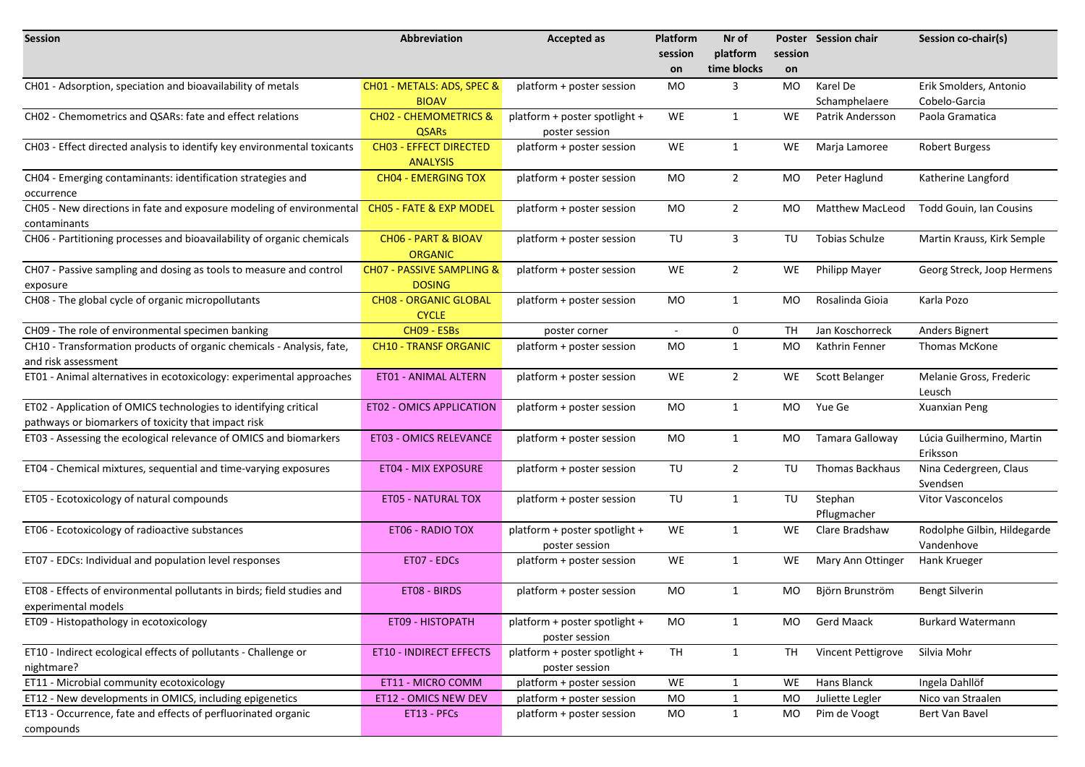| <b>Session</b>                                                          | Abbreviation                         | <b>Accepted as</b>            | <b>Platform</b> | Nr of          |         | Poster Session chair          | Session co-chair(s)            |
|-------------------------------------------------------------------------|--------------------------------------|-------------------------------|-----------------|----------------|---------|-------------------------------|--------------------------------|
|                                                                         |                                      |                               | session         | platform       | session |                               |                                |
|                                                                         |                                      |                               | on              | time blocks    | on      |                               |                                |
| CH01 - Adsorption, speciation and bioavailability of metals             | CH01 - METALS: ADS, SPEC &           | platform + poster session     | MO              | 3              | MO      | Karel De                      | Erik Smolders, Antonio         |
|                                                                         | <b>BIOAV</b>                         |                               |                 |                |         | Schamphelaere                 | Cobelo-Garcia                  |
| CH02 - Chemometrics and QSARs: fate and effect relations                | <b>CHO2 - CHEMOMETRICS &amp;</b>     | platform + poster spotlight + | WE              | $\mathbf{1}$   | WE.     | Patrik Andersson              | Paola Gramatica                |
|                                                                         | <b>QSARs</b>                         | poster session                |                 |                |         |                               |                                |
| CH03 - Effect directed analysis to identify key environmental toxicants | <b>CHO3 - EFFECT DIRECTED</b>        | platform + poster session     | WE              | $\mathbf{1}$   | WE      | Marja Lamoree                 | <b>Robert Burgess</b>          |
|                                                                         | <b>ANALYSIS</b>                      |                               |                 |                |         |                               |                                |
| CH04 - Emerging contaminants: identification strategies and             | <b>CH04 - EMERGING TOX</b>           | platform + poster session     | MO              | $\overline{2}$ | MO      | Peter Haglund                 | Katherine Langford             |
| occurrence                                                              |                                      |                               |                 |                |         |                               |                                |
| CH05 - New directions in fate and exposure modeling of environmental    | CH05 - FATE & EXP MODEL              | platform + poster session     | MO              | $\overline{2}$ | MO      | <b>Matthew MacLeod</b>        | <b>Todd Gouin, Ian Cousins</b> |
| contaminants                                                            |                                      |                               |                 |                |         |                               |                                |
| CH06 - Partitioning processes and bioavailability of organic chemicals  | <b>CHO6 - PART &amp; BIOAV</b>       | platform + poster session     | TU              | 3              | TU      | Tobias Schulze                | Martin Krauss, Kirk Semple     |
|                                                                         | <b>ORGANIC</b>                       |                               |                 |                |         |                               |                                |
| CH07 - Passive sampling and dosing as tools to measure and control      | <b>CH07 - PASSIVE SAMPLING &amp;</b> | platform + poster session     | WE              | $\overline{2}$ | WE.     | <b>Philipp Mayer</b>          | Georg Streck, Joop Hermens     |
| exposure                                                                | <b>DOSING</b>                        |                               |                 |                |         |                               |                                |
| CH08 - The global cycle of organic micropollutants                      | <b>CH08 - ORGANIC GLOBAL</b>         | platform + poster session     | MO              | $\mathbf{1}$   | MO      | Rosalinda Gioia               | Karla Pozo                     |
|                                                                         | <b>CYCLE</b>                         |                               |                 |                |         |                               |                                |
| CH09 - The role of environmental specimen banking                       | CH09 - ESBs                          | poster corner                 | $\blacksquare$  | 0              | TH      | Jan Koschorreck               | Anders Bignert                 |
| CH10 - Transformation products of organic chemicals - Analysis, fate,   | <b>CH10 - TRANSF ORGANIC</b>         | platform + poster session     | MO              | $\mathbf{1}$   | MO      | Kathrin Fenner                | Thomas McKone                  |
| and risk assessment                                                     |                                      |                               |                 |                |         |                               |                                |
| ET01 - Animal alternatives in ecotoxicology: experimental approaches    | <b>ET01 - ANIMAL ALTERN</b>          | platform + poster session     | WE              | $\overline{2}$ | WE      | <b>Scott Belanger</b>         | Melanie Gross, Frederic        |
|                                                                         |                                      |                               |                 |                |         |                               | Leusch                         |
| ET02 - Application of OMICS technologies to identifying critical        | <b>ET02 - OMICS APPLICATION</b>      | platform + poster session     | MO              | $\mathbf{1}$   | MO      | Yue Ge                        | Xuanxian Peng                  |
| pathways or biomarkers of toxicity that impact risk                     |                                      |                               |                 |                |         |                               |                                |
| ET03 - Assessing the ecological relevance of OMICS and biomarkers       | <b>ET03 - OMICS RELEVANCE</b>        | platform + poster session     | MO              | $\mathbf{1}$   | MO      | Tamara Galloway               | Lúcia Guilhermino, Martin      |
|                                                                         |                                      |                               |                 |                |         |                               | Eriksson                       |
| ET04 - Chemical mixtures, sequential and time-varying exposures         | ET04 - MIX EXPOSURE                  | platform + poster session     | TU              | $\overline{2}$ | TU      | Thomas Backhaus               | Nina Cedergreen, Claus         |
|                                                                         |                                      |                               | TU              | $\mathbf{1}$   | TU      |                               | Svendsen                       |
| ET05 - Ecotoxicology of natural compounds                               | <b>ET05 - NATURAL TOX</b>            | platform + poster session     |                 |                |         | Stephan                       | Vitor Vasconcelos              |
| ET06 - Ecotoxicology of radioactive substances                          | ET06 - RADIO TOX                     | platform + poster spotlight + | WE              | $\mathbf{1}$   | WE      | Pflugmacher<br>Clare Bradshaw | Rodolphe Gilbin, Hildegarde    |
|                                                                         |                                      | poster session                |                 |                |         |                               | Vandenhove                     |
| ET07 - EDCs: Individual and population level responses                  | ET07 - EDCs                          | platform + poster session     | WE              | $\mathbf{1}$   | WE.     | Mary Ann Ottinger             | Hank Krueger                   |
|                                                                         |                                      |                               |                 |                |         |                               |                                |
| ET08 - Effects of environmental pollutants in birds; field studies and  | ET08 - BIRDS                         | platform + poster session     | MO              | 1              | MO      | Björn Brunström               | <b>Bengt Silverin</b>          |
| experimental models                                                     |                                      |                               |                 |                |         |                               |                                |
| ET09 - Histopathology in ecotoxicology                                  | ET09 - HISTOPATH                     | platform + poster spotlight + | MO              | $\mathbf{1}$   | MO.     | <b>Gerd Maack</b>             | <b>Burkard Watermann</b>       |
|                                                                         |                                      | poster session                |                 |                |         |                               |                                |
| ET10 - Indirect ecological effects of pollutants - Challenge or         | ET10 - INDIRECT EFFECTS              | platform + poster spotlight + | TH              | $\mathbf{1}$   | TH      | Vincent Pettigrove            | Silvia Mohr                    |
| nightmare?                                                              |                                      | poster session                |                 |                |         |                               |                                |
| ET11 - Microbial community ecotoxicology                                | ET11 - MICRO COMM                    | platform + poster session     | WE              | 1              | WE      | Hans Blanck                   | Ingela Dahllöf                 |
| ET12 - New developments in OMICS, including epigenetics                 | ET12 - OMICS NEW DEV                 | platform + poster session     | MO              | 1              | MO      | Juliette Legler               | Nico van Straalen              |
| ET13 - Occurrence, fate and effects of perfluorinated organic           | ET13 - PFCs                          | platform + poster session     | MO              | $\mathbf{1}$   | MO      | Pim de Voogt                  | Bert Van Bavel                 |
| compounds                                                               |                                      |                               |                 |                |         |                               |                                |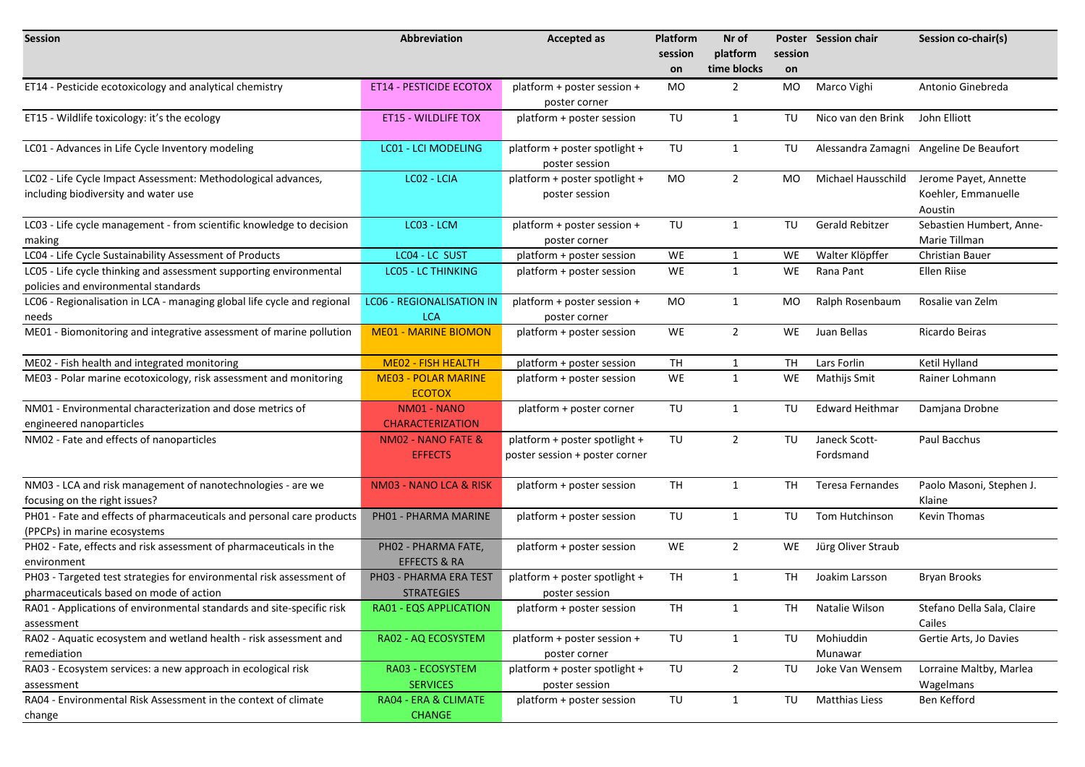| <b>Session</b>                                                                                         | <b>Abbreviation</b>                            | <b>Accepted as</b>                                              | Platform  | Nr of          |                 | Poster Session chair       | Session co-chair(s)                                     |
|--------------------------------------------------------------------------------------------------------|------------------------------------------------|-----------------------------------------------------------------|-----------|----------------|-----------------|----------------------------|---------------------------------------------------------|
|                                                                                                        |                                                |                                                                 | session   | platform       | session         |                            |                                                         |
|                                                                                                        |                                                |                                                                 | on        | time blocks    | on              |                            |                                                         |
| ET14 - Pesticide ecotoxicology and analytical chemistry                                                | <b>ET14 - PESTICIDE ECOTOX</b>                 | platform + poster session +                                     | MO        | $\overline{2}$ | MO              | Marco Vighi                | Antonio Ginebreda                                       |
|                                                                                                        |                                                | poster corner                                                   |           |                |                 |                            |                                                         |
| ET15 - Wildlife toxicology: it's the ecology                                                           | <b>ET15 - WILDLIFE TOX</b>                     | platform + poster session                                       | TU        | $\mathbf{1}$   | TU              | Nico van den Brink         | John Elliott                                            |
|                                                                                                        |                                                |                                                                 |           |                |                 |                            |                                                         |
| LC01 - Advances in Life Cycle Inventory modeling                                                       | <b>LC01 - LCI MODELING</b>                     | platform + poster spotlight +<br>poster session                 | TU        | $\mathbf{1}$   | TU              |                            | Alessandra Zamagni Angeline De Beaufort                 |
| LC02 - Life Cycle Impact Assessment: Methodological advances,<br>including biodiversity and water use  | LC02 - LCIA                                    | platform + poster spotlight +<br>poster session                 | MO        | $\overline{2}$ | MO.             | Michael Hausschild         | Jerome Payet, Annette<br>Koehler, Emmanuelle<br>Aoustin |
| LC03 - Life cycle management - from scientific knowledge to decision                                   | LC03 - LCM                                     | platform + poster session +                                     | TU        | $\mathbf{1}$   | TU              | <b>Gerald Rebitzer</b>     | Sebastien Humbert, Anne-<br>Marie Tillman               |
| making<br>LC04 - Life Cycle Sustainability Assessment of Products                                      | LC04 - LC SUST                                 | poster corner<br>platform + poster session                      | WE        | $\mathbf{1}$   | WE              | Walter Klöpffer            | <b>Christian Bauer</b>                                  |
| LC05 - Life cycle thinking and assessment supporting environmental                                     | <b>LCO5 - LC THINKING</b>                      | platform + poster session                                       | WE        | $\mathbf{1}$   | WE              | Rana Pant                  | Ellen Riise                                             |
| policies and environmental standards                                                                   |                                                |                                                                 |           |                |                 |                            |                                                         |
| LC06 - Regionalisation in LCA - managing global life cycle and regional<br>needs                       | <b>LC06 - REGIONALISATION IN</b><br><b>LCA</b> | platform + poster session +<br>poster corner                    | MO        | $\mathbf{1}$   | MO              | Ralph Rosenbaum            | Rosalie van Zelm                                        |
| ME01 - Biomonitoring and integrative assessment of marine pollution                                    | <b>ME01 - MARINE BIOMON</b>                    | platform + poster session                                       | WE        | $\overline{2}$ | WE              | Juan Bellas                | Ricardo Beiras                                          |
| ME02 - Fish health and integrated monitoring                                                           | <b>ME02 - FISH HEALTH</b>                      | platform + poster session                                       | <b>TH</b> | 1              | TH              | Lars Forlin                | Ketil Hylland                                           |
| ME03 - Polar marine ecotoxicology, risk assessment and monitoring                                      | <b>ME03 - POLAR MARINE</b><br><b>ECOTOX</b>    | platform + poster session                                       | WE        | $\mathbf{1}$   | WE.             | Mathijs Smit               | Rainer Lohmann                                          |
| NM01 - Environmental characterization and dose metrics of                                              | NM01 - NANO                                    | platform + poster corner                                        | TU        | $\mathbf{1}$   | TU              | <b>Edward Heithmar</b>     | Damjana Drobne                                          |
| engineered nanoparticles                                                                               | <b>CHARACTERIZATION</b>                        |                                                                 |           |                |                 |                            |                                                         |
| NM02 - Fate and effects of nanoparticles                                                               | NM02 - NANO FATE &<br><b>EFFECTS</b>           | platform + poster spotlight +<br>poster session + poster corner | TU        | $\overline{2}$ | TU              | Janeck Scott-<br>Fordsmand | Paul Bacchus                                            |
| NM03 - LCA and risk management of nanotechnologies - are we                                            | NM03 - NANO LCA & RISK                         | platform + poster session                                       | <b>TH</b> | $\mathbf{1}$   | TH              | Teresa Fernandes           | Paolo Masoni, Stephen J.                                |
| focusing on the right issues?<br>PH01 - Fate and effects of pharmaceuticals and personal care products | PH01 - PHARMA MARINE                           | platform + poster session                                       | TU        | $\mathbf{1}$   | TU              | Tom Hutchinson             | Klaine<br><b>Kevin Thomas</b>                           |
| (PPCPs) in marine ecosystems                                                                           |                                                |                                                                 |           |                |                 |                            |                                                         |
| PH02 - Fate, effects and risk assessment of pharmaceuticals in the                                     | PH02 - PHARMA FATE,                            | platform + poster session                                       | WE        | $\overline{2}$ | WE              | Jürg Oliver Straub         |                                                         |
| environment                                                                                            | <b>EFFECTS &amp; RA</b>                        |                                                                 |           |                |                 |                            |                                                         |
| PH03 - Targeted test strategies for environmental risk assessment of                                   | PH03 - PHARMA ERA TEST                         | platform + poster spotlight +                                   | <b>TH</b> | $\mathbf{1}$   | TH              | Joakim Larsson             | <b>Bryan Brooks</b>                                     |
| pharmaceuticals based on mode of action                                                                | <b>STRATEGIES</b>                              | poster session                                                  |           |                |                 |                            |                                                         |
| RA01 - Applications of environmental standards and site-specific risk                                  | RA01 - EQS APPLICATION                         | platform + poster session                                       | TH        | $\mathbf{1}$   | TH <sub>1</sub> | Natalie Wilson             | Stefano Della Sala, Claire                              |
| assessment<br>RA02 - Aquatic ecosystem and wetland health - risk assessment and                        | RA02 - AQ ECOSYSTEM                            | platform + poster session +                                     | TU        | $\mathbf{1}$   | TU              | Mohiuddin                  | Cailes<br>Gertie Arts, Jo Davies                        |
| remediation                                                                                            |                                                | poster corner                                                   |           |                |                 | Munawar                    |                                                         |
| RA03 - Ecosystem services: a new approach in ecological risk                                           | RA03 - ECOSYSTEM                               | platform + poster spotlight +                                   | TU        | $2^{\circ}$    | TU              | Joke Van Wensem            | Lorraine Maltby, Marlea                                 |
| assessment                                                                                             | <b>SERVICES</b>                                | poster session                                                  |           |                |                 |                            | Wagelmans                                               |
| RA04 - Environmental Risk Assessment in the context of climate<br>change                               | RA04 - ERA & CLIMATE<br><b>CHANGE</b>          | platform + poster session                                       | TU        | $\mathbf{1}$   | TU              | <b>Matthias Liess</b>      | Ben Kefford                                             |
|                                                                                                        |                                                |                                                                 |           |                |                 |                            |                                                         |